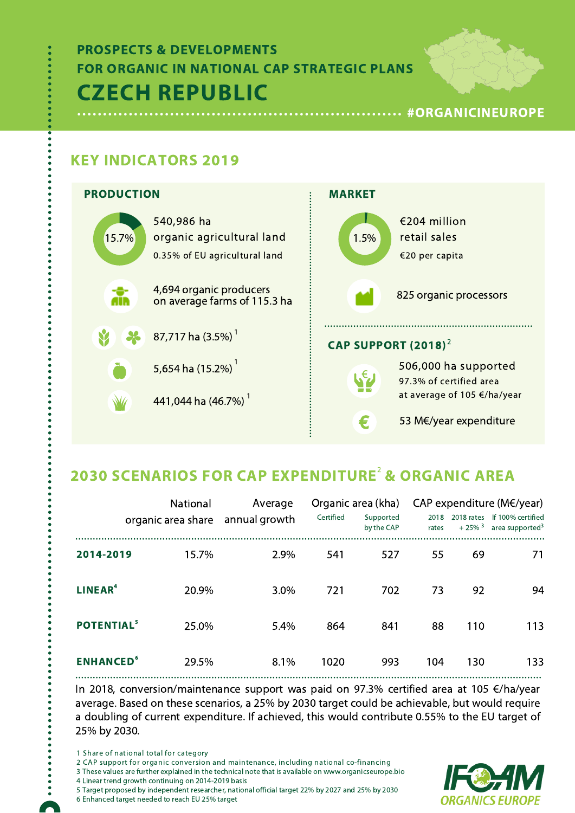# CZECH REPUBLIC PROSPECTS & DEVELOPMENTS FOR ORGANIC IN NATIONAL CAP STRATEGIC PLANS



..... #ORGANICINEUROPE

### KEY INDICATORS 2019



## 2030 SCENARIOS FOR CAP EXPENDITURE<sup>2</sup> & ORGANIC AREA

|                               | National<br>organic area share | Average<br>annual growth | Certified | Organic area (kha)<br>Supported<br>by the CAP | 2018<br>rates | 2018 rates<br>$+25\%$ <sup>3</sup> | CAP expenditure ( $M \in \mathcal{V}$ year)<br>If 100% certified<br>area supported <sup>3</sup> |
|-------------------------------|--------------------------------|--------------------------|-----------|-----------------------------------------------|---------------|------------------------------------|-------------------------------------------------------------------------------------------------|
| 2014-2019                     | 15.7%                          | 2.9%                     | 541       | 527                                           | 55            | 69                                 | 71                                                                                              |
| <b>LINEAR<sup>4</sup></b>     | 20.9%                          | 3.0%                     | 721       | 702                                           | 73            | 92                                 | 94                                                                                              |
| <b>POTENTIAL</b> <sup>5</sup> | 25.0%                          | 5.4%                     | 864       | 841                                           | 88            | 110                                | 113                                                                                             |
| <b>ENHANCED<sup>6</sup></b>   | 29.5%                          | 8.1%                     | 1020      | 993                                           | 104           | 130                                | 133                                                                                             |

In 2018, conversion/maintenance support was paid on 97.3% certified area at 105 €/ha/year average. Based on these scenarios, a 25% by 2030 target could be achievable, but would require a doubling of current expenditure. If achieved, this would contribute 0.55% to the EU target of 25% by 2030.

- 3 These values are further explained in the technical note that is available on www.organicseurope.bio
- 4 Linear trend growth continuing on 2014-2019 basis
- 5 Target proposed by independent researcher, national official target 22% by 2027 and 25% by 2030 6 Enhanced target needed to reach EU 25% target



<sup>1</sup> Share of national total for category

<sup>2</sup> CAP support for organic conversion and maintenance, including national co-financing